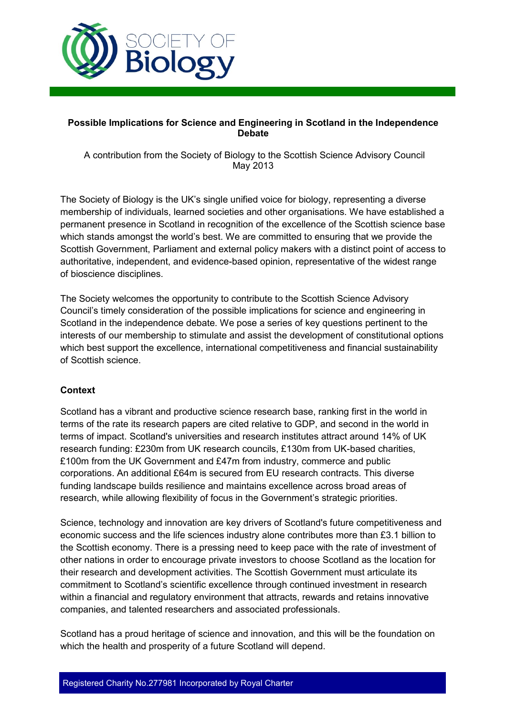

#### **Possible Implications for Science and Engineering in Scotland in the Independence Debate**

A contribution from the Society of Biology to the Scottish Science Advisory Council May 2013

The Society of Biology is the UK's single unified voice for biology, representing a diverse membership of individuals, learned societies and other organisations. We have established a permanent presence in Scotland in recognition of the excellence of the Scottish science base which stands amongst the world's best. We are committed to ensuring that we provide the Scottish Government, Parliament and external policy makers with a distinct point of access to authoritative, independent, and evidence-based opinion, representative of the widest range of bioscience disciplines.

The Society welcomes the opportunity to contribute to the Scottish Science Advisory Council's timely consideration of the possible implications for science and engineering in Scotland in the independence debate. We pose a series of key questions pertinent to the interests of our membership to stimulate and assist the development of constitutional options which best support the excellence, international competitiveness and financial sustainability of Scottish science.

## **Context**

Scotland has a vibrant and productive science research base, ranking first in the world in terms of the rate its research papers are cited relative to GDP, and second in the world in terms of impact. Scotland's universities and research institutes attract around 14% of UK research funding: £230m from UK research councils, £130m from UK-based charities, £100m from the UK Government and £47m from industry, commerce and public corporations. An additional £64m is secured from EU research contracts. This diverse funding landscape builds resilience and maintains excellence across broad areas of research, while allowing flexibility of focus in the Government's strategic priorities.

Science, technology and innovation are key drivers of Scotland's future competitiveness and economic success and the life sciences industry alone contributes more than £3.1 billion to the Scottish economy. There is a pressing need to keep pace with the rate of investment of other nations in order to encourage private investors to choose Scotland as the location for their research and development activities. The Scottish Government must articulate its commitment to Scotland's scientific excellence through continued investment in research within a financial and regulatory environment that attracts, rewards and retains innovative companies, and talented researchers and associated professionals.

Scotland has a proud heritage of science and innovation, and this will be the foundation on which the health and prosperity of a future Scotland will depend.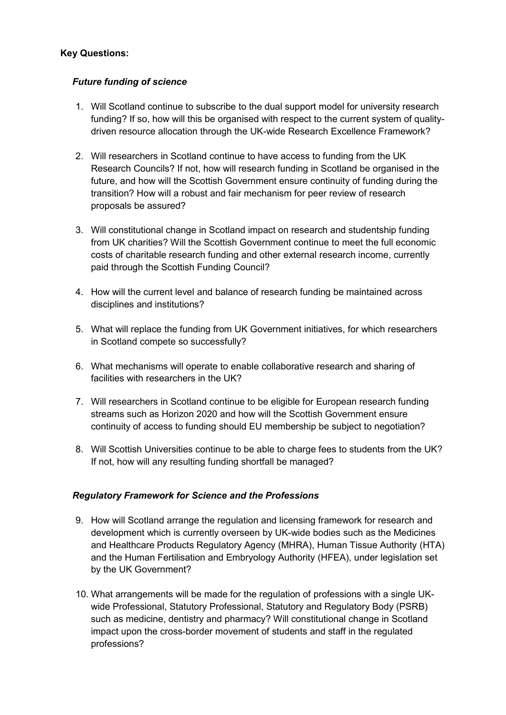# **Key Questions:**

# *Future funding of science*

- 1. Will Scotland continue to subscribe to the dual support model for university research funding? If so, how will this be organised with respect to the current system of qualitydriven resource allocation through the UK-wide Research Excellence Framework?
- 2. Will researchers in Scotland continue to have access to funding from the UK Research Councils? If not, how will research funding in Scotland be organised in the future, and how will the Scottish Government ensure continuity of funding during the transition? How will a robust and fair mechanism for peer review of research proposals be assured?
- 3. Will constitutional change in Scotland impact on research and studentship funding from UK charities? Will the Scottish Government continue to meet the full economic costs of charitable research funding and other external research income, currently paid through the Scottish Funding Council?
- 4. How will the current level and balance of research funding be maintained across disciplines and institutions?
- 5. What will replace the funding from UK Government initiatives, for which researchers in Scotland compete so successfully?
- 6. What mechanisms will operate to enable collaborative research and sharing of facilities with researchers in the UK?
- 7. Will researchers in Scotland continue to be eligible for European research funding streams such as Horizon 2020 and how will the Scottish Government ensure continuity of access to funding should EU membership be subject to negotiation?
- 8. Will Scottish Universities continue to be able to charge fees to students from the UK? If not, how will any resulting funding shortfall be managed?

## *Regulatory Framework for Science and the Professions*

- 9. How will Scotland arrange the regulation and licensing framework for research and development which is currently overseen by UK-wide bodies such as the Medicines and Healthcare Products Regulatory Agency (MHRA), Human Tissue Authority (HTA) and the Human Fertilisation and Embryology Authority (HFEA), under legislation set by the UK Government?
- 10. What arrangements will be made for the regulation of professions with a single UKwide Professional, Statutory Professional, Statutory and Regulatory Body (PSRB) such as medicine, dentistry and pharmacy? Will constitutional change in Scotland impact upon the cross-border movement of students and staff in the regulated professions?